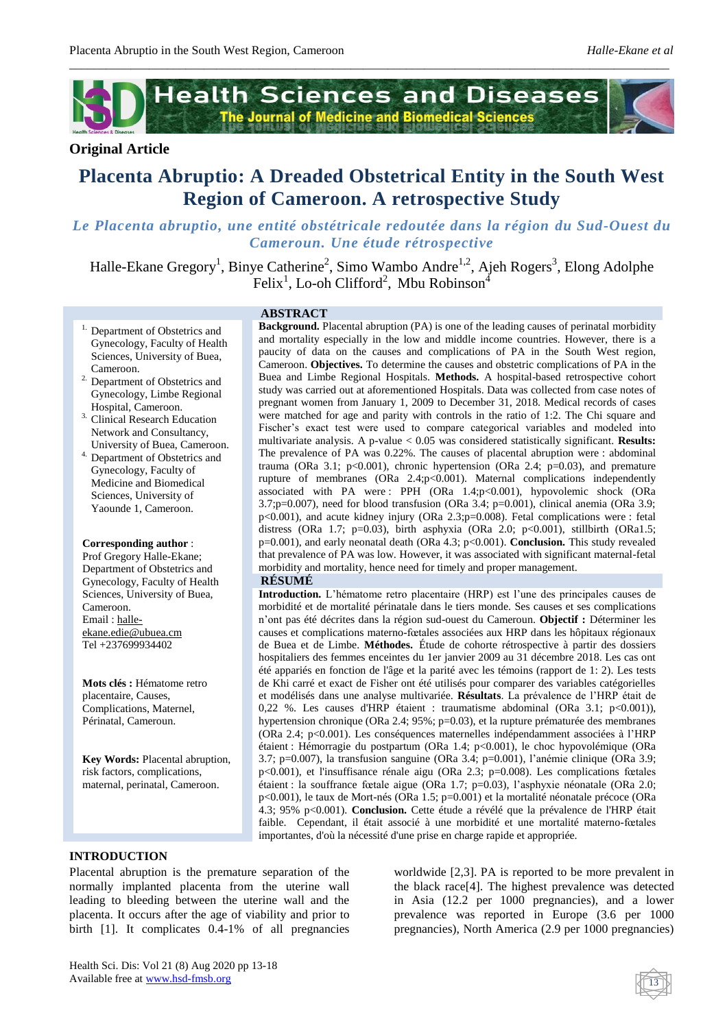

*\_\_\_\_\_\_\_\_\_\_\_\_\_\_\_\_\_\_\_\_\_\_\_\_\_\_\_\_\_\_\_\_\_\_\_\_\_\_\_\_\_\_\_\_\_\_\_\_\_\_\_\_\_\_\_\_\_\_\_\_\_\_\_\_\_\_\_\_\_\_\_\_\_\_\_\_\_\_\_\_\_\_\_\_\_\_\_\_\_\_\_\_\_\_\_\_\_\_*

# **Original Article**

# **Placenta Abruptio: A Dreaded Obstetrical Entity in the South West Region of Cameroon. A retrospective Study**

# *Le Placenta abruptio, une entité obstétricale redoutée dans la région du Sud-Ouest du Cameroun. Une étude rétrospective*

Halle-Ekane Gregory<sup>1</sup>, Binye Catherine<sup>2</sup>, Simo Wambo Andre<sup>1,2</sup>, Ajeh Rogers<sup>3</sup>, Elong Adolphe Felix<sup>1</sup>, Lo-oh Clifford<sup>2</sup>, Mbu Robinson<sup>4</sup>

- <sup>1.</sup> Department of Obstetrics and Gynecology, Faculty of Health Sciences, University of Buea, Cameroon.
- <sup>2.</sup> Department of Obstetrics and Gynecology, Limbe Regional Hospital, Cameroon.
- <sup>3.</sup> Clinical Research Education Network and Consultancy, University of Buea, Cameroon.
- 4. Department of Obstetrics and Gynecology, Faculty of Medicine and Biomedical Sciences, University of Yaounde 1, Cameroon.

#### **Corresponding author** :

Prof Gregory Halle-Ekane; Department of Obstetrics and Gynecology, Faculty of Health Sciences, University of Buea, Cameroon. Email [: halle](mailto:halle-ekane.edie@ubuea.cm)[ekane.edie@ubuea.cm](mailto:halle-ekane.edie@ubuea.cm) Tel +237699934402

**Mots clés :** Hématome retro placentaire, Causes, Complications, Maternel, Périnatal, Cameroun.

**Key Words:** Placental abruption, risk factors, complications, maternal, perinatal, Cameroon.

#### **ABSTRACT**

**Background.** Placental abruption (PA) is one of the leading causes of perinatal morbidity and mortality especially in the low and middle income countries. However, there is a paucity of data on the causes and complications of PA in the South West region, Cameroon. **Objectives.** To determine the causes and obstetric complications of PA in the Buea and Limbe Regional Hospitals. **Methods.** A hospital-based retrospective cohort study was carried out at aforementioned Hospitals. Data was collected from case notes of pregnant women from January 1, 2009 to December 31, 2018. Medical records of cases were matched for age and parity with controls in the ratio of 1:2. The Chi square and Fischer's exact test were used to compare categorical variables and modeled into multivariate analysis. A p-value < 0.05 was considered statistically significant. **Results:** The prevalence of PA was 0.22%. The causes of placental abruption were : abdominal trauma (ORa 3.1;  $p<0.001$ ), chronic hypertension (ORa 2.4;  $p=0.03$ ), and premature rupture of membranes (ORa  $2.4$ ;p<0.001). Maternal complications independently associated with PA were : PPH (ORa 1.4;p<0.001), hypovolemic shock (ORa  $3.7$ ;p=0.007), need for blood transfusion (ORa  $3.4$ ; p=0.001), clinical anemia (ORa  $3.9$ ;  $p<0.001$ ), and acute kidney injury (ORa 2.3; $p=0.008$ ). Fetal complications were : fetal distress (ORa 1.7;  $p=0.03$ ), birth asphyxia (ORa 2.0;  $p<0.001$ ), stillbirth (ORa1.5; p=0.001), and early neonatal death (ORa 4.3; p<0.001). **Conclusion.** This study revealed that prevalence of PA was low. However, it was associated with significant maternal-fetal morbidity and mortality, hence need for timely and proper management.

#### **RÉSUMÉ**

**Introduction.** L'hématome retro placentaire (HRP) est l'une des principales causes de morbidité et de mortalité périnatale dans le tiers monde. Ses causes et ses complications n'ont pas été décrites dans la région sud-ouest du Cameroun. **Objectif :** Déterminer les causes et complications materno-fœtales associées aux HRP dans les hôpitaux régionaux de Buea et de Limbe. **Méthodes.** Étude de cohorte rétrospective à partir des dossiers hospitaliers des femmes enceintes du 1er janvier 2009 au 31 décembre 2018. Les cas ont été appariés en fonction de l'âge et la parité avec les témoins (rapport de 1: 2). Les tests de Khi carré et exact de Fisher ont été utilisés pour comparer des variables catégorielles et modélisés dans une analyse multivariée. **Résultats**. La prévalence de l'HRP était de 0,22 %. Les causes d'HRP étaient : traumatisme abdominal (ORa 3.1; p<0.001)), hypertension chronique (ORa 2.4; 95%; p=0.03), et la rupture prématurée des membranes (ORa 2.4; p<0.001). Les conséquences maternelles indépendamment associées à l'HRP étaient : Hémorragie du postpartum (ORa 1.4; p<0.001), le choc hypovolémique (ORa 3.7; p=0.007), la transfusion sanguine (ORa 3.4; p=0.001), l'anémie clinique (ORa 3.9; p<0.001), et l'insuffisance rénale aigu (ORa 2.3; p=0.008). Les complications fœtales étaient : la souffrance fœtale aigue (ORa 1.7; p=0.03), l'asphyxie néonatale (ORa 2.0; p<0.001), le taux de Mort-nés (ORa 1.5; p=0.001) et la mortalité néonatale précoce (ORa 4.3; 95% p<0.001). **Conclusion.** Cette étude a révélé que la prévalence de l'HRP était faible. Cependant, il était associé à une morbidité et une mortalité materno-fœtales importantes, d'où la nécessité d'une prise en charge rapide et appropriée.

### **INTRODUCTION**

Placental abruption is the premature separation of the normally implanted placenta from the uterine wall leading to bleeding between the uterine wall and the placenta. It occurs after the age of viability and prior to birth [1]. It complicates 0.4-1% of all pregnancies

worldwide [2,3]. PA is reported to be more prevalent in the black race[4]. The highest prevalence was detected in Asia (12.2 per 1000 pregnancies), and a lower prevalence was reported in Europe (3.6 per 1000 pregnancies), North America (2.9 per 1000 pregnancies)

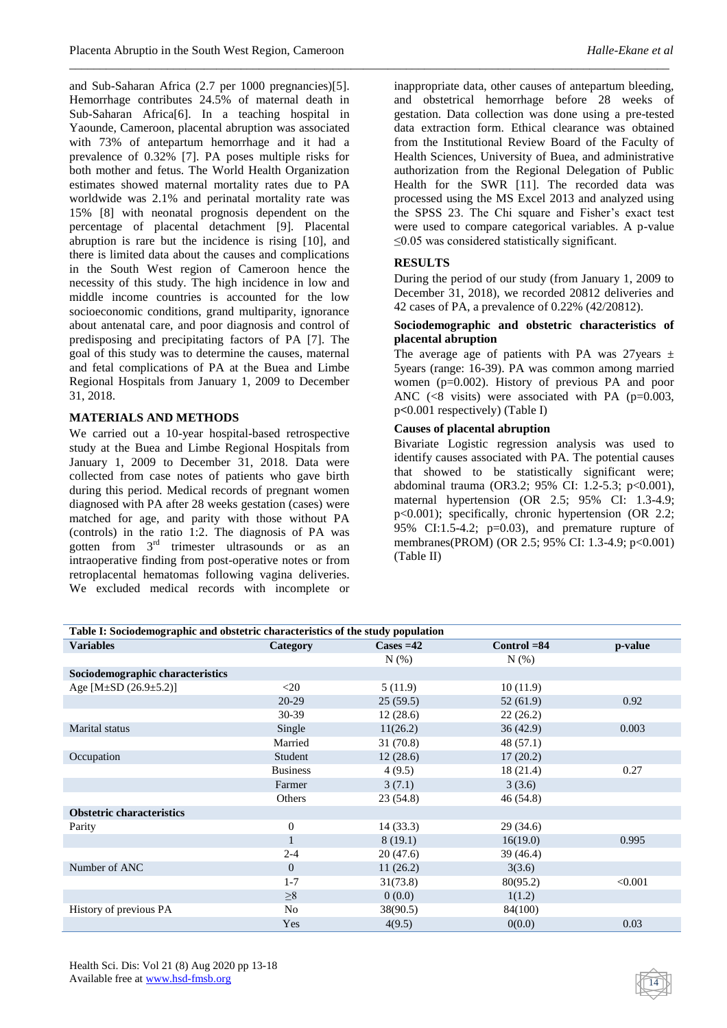and Sub-Saharan Africa (2.7 per 1000 pregnancies)[5]. Hemorrhage contributes 24.5% of maternal death in Sub-Saharan Africa[6]. In a teaching hospital in Yaounde, Cameroon, placental abruption was associated with 73% of antepartum hemorrhage and it had a prevalence of 0.32% [7]. PA poses multiple risks for both mother and fetus. The World Health Organization estimates showed maternal mortality rates due to PA worldwide was 2.1% and perinatal mortality rate was 15% [8] with neonatal prognosis dependent on the percentage of placental detachment [9]. Placental abruption is rare but the incidence is rising [10], and there is limited data about the causes and complications in the South West region of Cameroon hence the necessity of this study. The high incidence in low and middle income countries is accounted for the low socioeconomic conditions, grand multiparity, ignorance about antenatal care, and poor diagnosis and control of predisposing and precipitating factors of PA [7]. The goal of this study was to determine the causes, maternal and fetal complications of PA at the Buea and Limbe Regional Hospitals from January 1, 2009 to December 31, 2018.

# **MATERIALS AND METHODS**

We carried out a 10-year hospital-based retrospective study at the Buea and Limbe Regional Hospitals from January 1, 2009 to December 31, 2018. Data were collected from case notes of patients who gave birth during this period. Medical records of pregnant women diagnosed with PA after 28 weeks gestation (cases) were matched for age, and parity with those without PA (controls) in the ratio 1:2. The diagnosis of PA was gotten from 3rd trimester ultrasounds or as an intraoperative finding from post-operative notes or from retroplacental hematomas following vagina deliveries. We excluded medical records with incomplete or inappropriate data, other causes of antepartum bleeding, and obstetrical hemorrhage before 28 weeks of gestation. Data collection was done using a pre-tested data extraction form. Ethical clearance was obtained from the Institutional Review Board of the Faculty of Health Sciences, University of Buea, and administrative authorization from the Regional Delegation of Public Health for the SWR [11]. The recorded data was processed using the MS Excel 2013 and analyzed using the SPSS 23. The Chi square and Fisher's exact test were used to compare categorical variables. A p-value ≤0.05 was considered statistically significant.

# **RESULTS**

*\_\_\_\_\_\_\_\_\_\_\_\_\_\_\_\_\_\_\_\_\_\_\_\_\_\_\_\_\_\_\_\_\_\_\_\_\_\_\_\_\_\_\_\_\_\_\_\_\_\_\_\_\_\_\_\_\_\_\_\_\_\_\_\_\_\_\_\_\_\_\_\_\_\_\_\_\_\_\_\_\_\_\_\_\_\_\_\_\_\_\_\_\_\_\_\_\_\_*

During the period of our study (from January 1, 2009 to December 31, 2018), we recorded 20812 deliveries and 42 cases of PA, a prevalence of 0.22% (42/20812).

# **Sociodemographic and obstetric characteristics of placental abruption**

The average age of patients with PA was 27 years  $\pm$ 5years (range: 16-39). PA was common among married women (p=0.002). History of previous PA and poor ANC  $(<8$  visits) were associated with PA  $(p=0.003,$ p**<**0.001 respectively) (Table I)

# **Causes of placental abruption**

Bivariate Logistic regression analysis was used to identify causes associated with PA. The potential causes that showed to be statistically significant were; abdominal trauma (OR3.2; 95% CI: 1.2-5.3; p<0.001), maternal hypertension (OR 2.5; 95% CI: 1.3-4.9; p<0.001); specifically, chronic hypertension (OR 2.2; 95% CI:1.5-4.2;  $p=0.03$ ), and premature rupture of membranes(PROM) (OR 2.5; 95% CI: 1.3-4.9; p<0.001) (Table II)

| Table I: Sociodemographic and obstetric characteristics of the study population |                 |                    |                |         |  |  |  |
|---------------------------------------------------------------------------------|-----------------|--------------------|----------------|---------|--|--|--|
| <b>Variables</b>                                                                | Category        | $\text{Case} = 42$ | $Control = 84$ | p-value |  |  |  |
|                                                                                 |                 | $N(\%)$            | $N(\%)$        |         |  |  |  |
| Sociodemographic characteristics                                                |                 |                    |                |         |  |  |  |
| Age [M $\pm$ SD (26.9 $\pm$ 5.2)]                                               | $<$ 20          | 5(11.9)            | 10(11.9)       |         |  |  |  |
|                                                                                 | 20-29           | 25(59.5)           | 52(61.9)       | 0.92    |  |  |  |
|                                                                                 | 30-39           | 12(28.6)           | 22(26.2)       |         |  |  |  |
| Marital status                                                                  | Single          | 11(26.2)           | 36(42.9)       | 0.003   |  |  |  |
|                                                                                 | Married         | 31 (70.8)          | 48 (57.1)      |         |  |  |  |
| Occupation                                                                      | Student         | 12(28.6)           | 17(20.2)       |         |  |  |  |
|                                                                                 | <b>Business</b> | 4(9.5)             | 18(21.4)       | 0.27    |  |  |  |
|                                                                                 | Farmer          | 3(7.1)             | 3(3.6)         |         |  |  |  |
|                                                                                 | Others          | 23(54.8)           | 46(54.8)       |         |  |  |  |
| <b>Obstetric characteristics</b>                                                |                 |                    |                |         |  |  |  |
| Parity                                                                          | $\mathbf{0}$    | 14(33.3)           | 29(34.6)       |         |  |  |  |
|                                                                                 |                 | 8(19.1)            | 16(19.0)       | 0.995   |  |  |  |
|                                                                                 | $2 - 4$         | 20(47.6)           | 39 (46.4)      |         |  |  |  |
| Number of ANC                                                                   | $\overline{0}$  | 11(26.2)           | 3(3.6)         |         |  |  |  |
|                                                                                 | $1 - 7$         | 31(73.8)           | 80(95.2)       | < 0.001 |  |  |  |
|                                                                                 | $\geq 8$        | 0(0.0)             | 1(1.2)         |         |  |  |  |
| History of previous PA                                                          | No              | 38(90.5)           | 84(100)        |         |  |  |  |
|                                                                                 | Yes             | 4(9.5)             | 0(0.0)         | 0.03    |  |  |  |

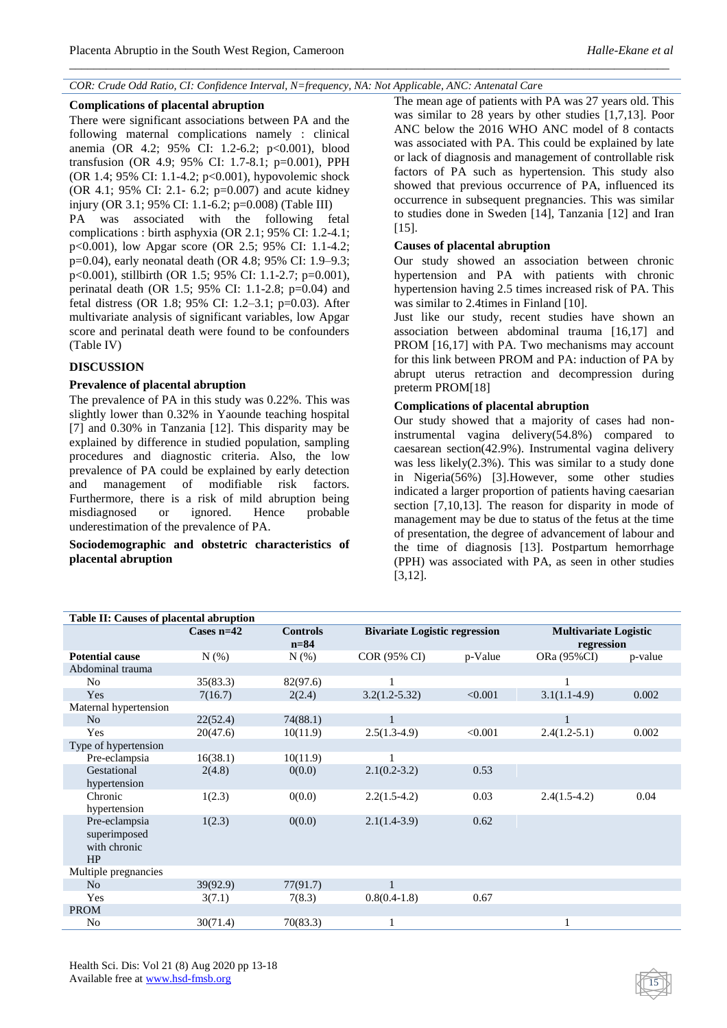### *COR: Crude Odd Ratio, CI: Confidence Interval, N=frequency, NA: Not Applicable, ANC: Antenatal Car*e

*\_\_\_\_\_\_\_\_\_\_\_\_\_\_\_\_\_\_\_\_\_\_\_\_\_\_\_\_\_\_\_\_\_\_\_\_\_\_\_\_\_\_\_\_\_\_\_\_\_\_\_\_\_\_\_\_\_\_\_\_\_\_\_\_\_\_\_\_\_\_\_\_\_\_\_\_\_\_\_\_\_\_\_\_\_\_\_\_\_\_\_\_\_\_\_\_\_\_*

#### **Complications of placental abruption**

There were significant associations between PA and the following maternal complications namely : clinical anemia (OR 4.2; 95% CI: 1.2-6.2; p<0.001), blood transfusion (OR 4.9; 95% CI: 1.7-8.1; p=0.001), PPH (OR 1.4; 95% CI: 1.1-4.2; p<0.001), hypovolemic shock (OR 4.1; 95% CI: 2.1- 6.2; p=0.007) and acute kidney injury (OR 3.1; 95% CI: 1.1-6.2; p=0.008) (Table III) PA was associated with the following fetal complications : birth asphyxia (OR 2.1; 95% CI: 1.2-4.1; p<0.001), low Apgar score (OR 2.5; 95% CI: 1.1-4.2; p=0.04), early neonatal death (OR 4.8; 95% CI: 1.9–9.3; p<0.001), stillbirth (OR 1.5; 95% CI: 1.1-2.7; p=0.001), perinatal death (OR 1.5; 95% CI: 1.1-2.8; p=0.04) and fetal distress (OR 1.8; 95% CI: 1.2–3.1; p=0.03). After multivariate analysis of significant variables, low Apgar

score and perinatal death were found to be confounders

# (Table IV)

# **DISCUSSION**

### **Prevalence of placental abruption**

The prevalence of PA in this study was 0.22%. This was slightly lower than 0.32% in Yaounde teaching hospital [7] and 0.30% in Tanzania [12]. This disparity may be explained by difference in studied population, sampling procedures and diagnostic criteria. Also, the low prevalence of PA could be explained by early detection and management of modifiable risk factors. Furthermore, there is a risk of mild abruption being misdiagnosed or ignored. Hence probable underestimation of the prevalence of PA.

**Sociodemographic and obstetric characteristics of placental abruption**

The mean age of patients with PA was 27 years old. This was similar to 28 years by other studies [1,7,13]. Poor ANC below the 2016 WHO ANC model of 8 contacts was associated with PA. This could be explained by late or lack of diagnosis and management of controllable risk factors of PA such as hypertension. This study also showed that previous occurrence of PA, influenced its occurrence in subsequent pregnancies. This was similar to studies done in Sweden [14], Tanzania [12] and Iran [15].

### **Causes of placental abruption**

Our study showed an association between chronic hypertension and PA with patients with chronic hypertension having 2.5 times increased risk of PA. This was similar to 2.4times in Finland [10].

Just like our study, recent studies have shown an association between abdominal trauma [16,17] and PROM [16,17] with PA. Two mechanisms may account for this link between PROM and PA: induction of PA by abrupt uterus retraction and decompression during preterm PROM[18]

# **Complications of placental abruption**

Our study showed that a majority of cases had noninstrumental vagina delivery(54.8%) compared to caesarean section(42.9%). Instrumental vagina delivery was less likely(2.3%). This was similar to a study done in Nigeria(56%) [3].However, some other studies indicated a larger proportion of patients having caesarian section [7,10,13]. The reason for disparity in mode of management may be due to status of the fetus at the time of presentation, the degree of advancement of labour and the time of diagnosis [13]. Postpartum hemorrhage (PPH) was associated with PA, as seen in other studies [3,12].

| Table II: Causes of placental abruption             |              |                             |                                      |         |                                            |         |  |  |
|-----------------------------------------------------|--------------|-----------------------------|--------------------------------------|---------|--------------------------------------------|---------|--|--|
|                                                     | Cases $n=42$ | <b>Controls</b><br>$n = 84$ | <b>Bivariate Logistic regression</b> |         | <b>Multivariate Logistic</b><br>regression |         |  |  |
| <b>Potential cause</b>                              | N(% )        | $N(\%)$                     | COR (95% CI)                         | p-Value | ORa (95%CI)                                | p-value |  |  |
| Abdominal trauma                                    |              |                             |                                      |         |                                            |         |  |  |
| N <sub>o</sub>                                      | 35(83.3)     | 82(97.6)                    |                                      |         |                                            |         |  |  |
| Yes                                                 | 7(16.7)      | 2(2.4)                      | $3.2(1.2 - 5.32)$                    | < 0.001 | $3.1(1.1-4.9)$                             | 0.002   |  |  |
| Maternal hypertension                               |              |                             |                                      |         |                                            |         |  |  |
| N <sub>o</sub>                                      | 22(52.4)     | 74(88.1)                    | $\mathbf{1}$                         |         |                                            |         |  |  |
| Yes                                                 | 20(47.6)     | 10(11.9)                    | $2.5(1.3-4.9)$                       | < 0.001 | $2.4(1.2-5.1)$                             | 0.002   |  |  |
| Type of hypertension                                |              |                             |                                      |         |                                            |         |  |  |
| Pre-eclampsia                                       | 16(38.1)     | 10(11.9)                    |                                      |         |                                            |         |  |  |
| Gestational<br>hypertension                         | 2(4.8)       | 0(0.0)                      | $2.1(0.2-3.2)$                       | 0.53    |                                            |         |  |  |
| Chronic<br>hypertension                             | 1(2.3)       | 0(0.0)                      | $2.2(1.5-4.2)$                       | 0.03    | $2.4(1.5-4.2)$                             | 0.04    |  |  |
| Pre-eclampsia<br>superimposed<br>with chronic<br>HP | 1(2.3)       | 0(0.0)                      | $2.1(1.4-3.9)$                       | 0.62    |                                            |         |  |  |
| Multiple pregnancies                                |              |                             |                                      |         |                                            |         |  |  |
| N <sub>o</sub>                                      | 39(92.9)     | 77(91.7)                    |                                      |         |                                            |         |  |  |
| Yes                                                 | 3(7.1)       | 7(8.3)                      | $0.8(0.4-1.8)$                       | 0.67    |                                            |         |  |  |
| <b>PROM</b>                                         |              |                             |                                      |         |                                            |         |  |  |
| No                                                  | 30(71.4)     | 70(83.3)                    |                                      |         |                                            |         |  |  |

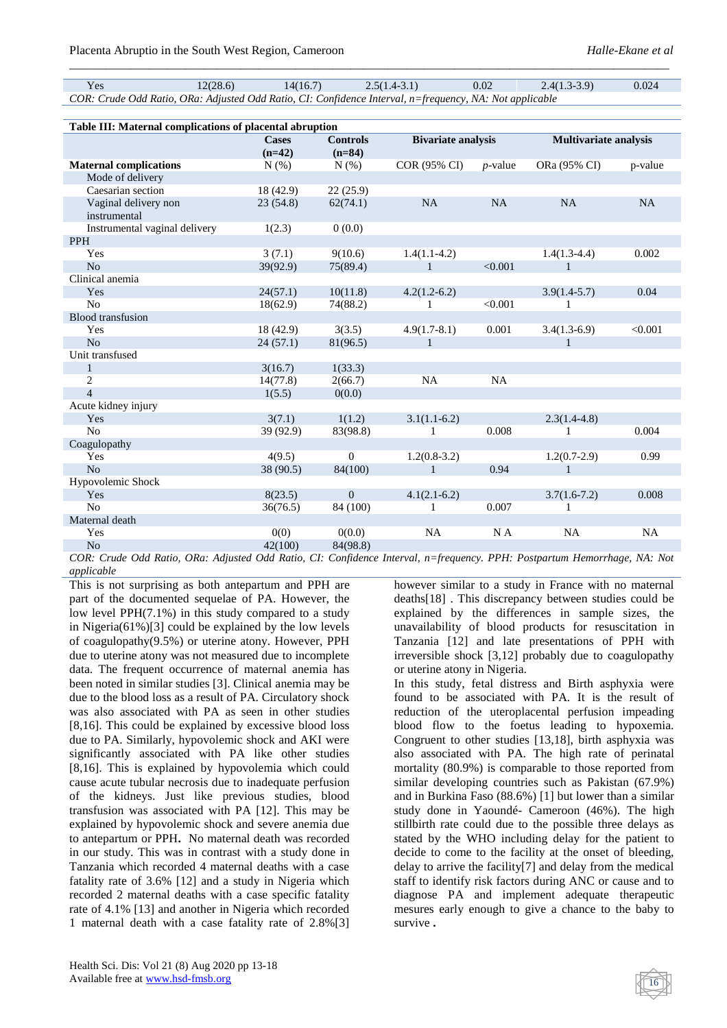Yes  $12(28.6)$   $14(16.7)$   $2.5(1.4-3.1)$   $0.02$   $2.4(1.3-3.9)$   $0.024$ *COR: Crude Odd Ratio, ORa: Adjusted Odd Ratio, CI: Confidence Interval, n=frequency, NA: Not applicable*

*\_\_\_\_\_\_\_\_\_\_\_\_\_\_\_\_\_\_\_\_\_\_\_\_\_\_\_\_\_\_\_\_\_\_\_\_\_\_\_\_\_\_\_\_\_\_\_\_\_\_\_\_\_\_\_\_\_\_\_\_\_\_\_\_\_\_\_\_\_\_\_\_\_\_\_\_\_\_\_\_\_\_\_\_\_\_\_\_\_\_\_\_\_\_\_\_\_\_*

| Table III: Maternal complications of placental abruption |              |                 |                           |            |                              |           |  |
|----------------------------------------------------------|--------------|-----------------|---------------------------|------------|------------------------------|-----------|--|
|                                                          | <b>Cases</b> | <b>Controls</b> | <b>Bivariate analysis</b> |            | <b>Multivariate analysis</b> |           |  |
|                                                          | $(n=42)$     | $(n=84)$        |                           |            |                              |           |  |
| <b>Maternal complications</b>                            | N(%)         | N(% )           | COR (95% CI)              | $p$ -value | ORa (95% CI)                 | p-value   |  |
| Mode of delivery                                         |              |                 |                           |            |                              |           |  |
| Caesarian section                                        | 18(42.9)     | 22(25.9)        |                           |            |                              |           |  |
| Vaginal delivery non                                     | 23(54.8)     | 62(74.1)        | NA                        | NA         | NA                           | <b>NA</b> |  |
| instrumental                                             |              |                 |                           |            |                              |           |  |
| Instrumental vaginal delivery                            | 1(2.3)       | 0(0.0)          |                           |            |                              |           |  |
| <b>PPH</b>                                               |              |                 |                           |            |                              |           |  |
| Yes                                                      | 3(7.1)       | 9(10.6)         | $1.4(1.1-4.2)$            |            | $1.4(1.3-4.4)$               | 0.002     |  |
| N <sub>o</sub>                                           | 39(92.9)     | 75(89.4)        | $\mathbf{1}$              | < 0.001    | 1                            |           |  |
| Clinical anemia                                          |              |                 |                           |            |                              |           |  |
| Yes                                                      | 24(57.1)     | 10(11.8)        | $4.2(1.2-6.2)$            |            | $3.9(1.4-5.7)$               | 0.04      |  |
| N <sub>o</sub>                                           | 18(62.9)     | 74(88.2)        | 1                         | < 0.001    | 1                            |           |  |
| <b>Blood</b> transfusion                                 |              |                 |                           |            |                              |           |  |
| Yes                                                      | 18 (42.9)    | 3(3.5)          | $4.9(1.7-8.1)$            | 0.001      | $3.4(1.3-6.9)$               | < 0.001   |  |
| N <sub>o</sub>                                           | 24(57.1)     | 81(96.5)        | $\mathbf{1}$              |            | 1                            |           |  |
| Unit transfused                                          |              |                 |                           |            |                              |           |  |
| $\mathbf{1}$                                             | 3(16.7)      | 1(33.3)         |                           |            |                              |           |  |
| 2                                                        | 14(77.8)     | 2(66.7)         | <b>NA</b>                 | NA         |                              |           |  |
| $\overline{4}$                                           | 1(5.5)       | 0(0.0)          |                           |            |                              |           |  |
| Acute kidney injury                                      |              |                 |                           |            |                              |           |  |
| Yes                                                      | 3(7.1)       | 1(1.2)          | $3.1(1.1-6.2)$            |            | $2.3(1.4-4.8)$               |           |  |
| No                                                       | 39 (92.9)    | 83(98.8)        | 1                         | 0.008      | 1                            | 0.004     |  |
| Coagulopathy                                             |              |                 |                           |            |                              |           |  |
| Yes                                                      | 4(9.5)       | $\overline{0}$  | $1.2(0.8-3.2)$            |            | $1.2(0.7-2.9)$               | 0.99      |  |
| N <sub>o</sub>                                           | 38 (90.5)    | 84(100)         | $\mathbf{1}$              | 0.94       | 1                            |           |  |
| Hypovolemic Shock                                        |              |                 |                           |            |                              |           |  |
| Yes                                                      | 8(23.5)      | $\Omega$        | $4.1(2.1-6.2)$            |            | $3.7(1.6-7.2)$               | 0.008     |  |
| No                                                       | 36(76.5)     | 84 (100)        | 1                         | 0.007      | 1                            |           |  |
| Maternal death                                           |              |                 |                           |            |                              |           |  |
| Yes                                                      | 0(0)         | 0(0.0)          | <b>NA</b>                 | N A        | <b>NA</b>                    | <b>NA</b> |  |
| N <sub>o</sub>                                           | 42(100)      | 84(98.8)        |                           |            |                              |           |  |
|                                                          |              |                 |                           |            |                              |           |  |

*COR: Crude Odd Ratio, ORa: Adjusted Odd Ratio, CI: Confidence Interval, n=frequency. PPH: Postpartum Hemorrhage, NA: Not applicable*

This is not surprising as both antepartum and PPH are part of the documented sequelae of PA. However, the low level PPH(7.1%) in this study compared to a study in Nigeria(61%)[3] could be explained by the low levels of coagulopathy(9.5%) or uterine atony. However, PPH due to uterine atony was not measured due to incomplete data. The frequent occurrence of maternal anemia has been noted in similar studies [3]. Clinical anemia may be due to the blood loss as a result of PA. Circulatory shock was also associated with PA as seen in other studies [8,16]. This could be explained by excessive blood loss due to PA. Similarly, hypovolemic shock and AKI were significantly associated with PA like other studies [8,16]. This is explained by hypovolemia which could cause acute tubular necrosis due to inadequate perfusion of the kidneys. Just like previous studies, blood transfusion was associated with PA [12]. This may be explained by hypovolemic shock and severe anemia due to antepartum or PPH**.** No maternal death was recorded in our study. This was in contrast with a study done in Tanzania which recorded 4 maternal deaths with a case fatality rate of 3.6% [12] and a study in Nigeria which recorded 2 maternal deaths with a case specific fatality rate of 4.1% [13] and another in Nigeria which recorded 1 maternal death with a case fatality rate of 2.8%[3]

however similar to a study in France with no maternal deaths[18] . This discrepancy between studies could be explained by the differences in sample sizes, the unavailability of blood products for resuscitation in Tanzania [12] and late presentations of PPH with irreversible shock [3,12] probably due to coagulopathy or uterine atony in Nigeria.

In this study, fetal distress and Birth asphyxia were found to be associated with PA. It is the result of reduction of the uteroplacental perfusion impeading blood flow to the foetus leading to hypoxemia. Congruent to other studies [13,18], birth asphyxia was also associated with PA. The high rate of perinatal mortality (80.9%) is comparable to those reported from similar developing countries such as Pakistan (67.9%) and in Burkina Faso (88.6%) [1] but lower than a similar study done in Yaoundé- Cameroon (46%). The high stillbirth rate could due to the possible three delays as stated by the WHO including delay for the patient to decide to come to the facility at the onset of bleeding, delay to arrive the facility[7] and delay from the medical staff to identify risk factors during ANC or cause and to diagnose PA and implement adequate therapeutic mesures early enough to give a chance to the baby to survive **.**

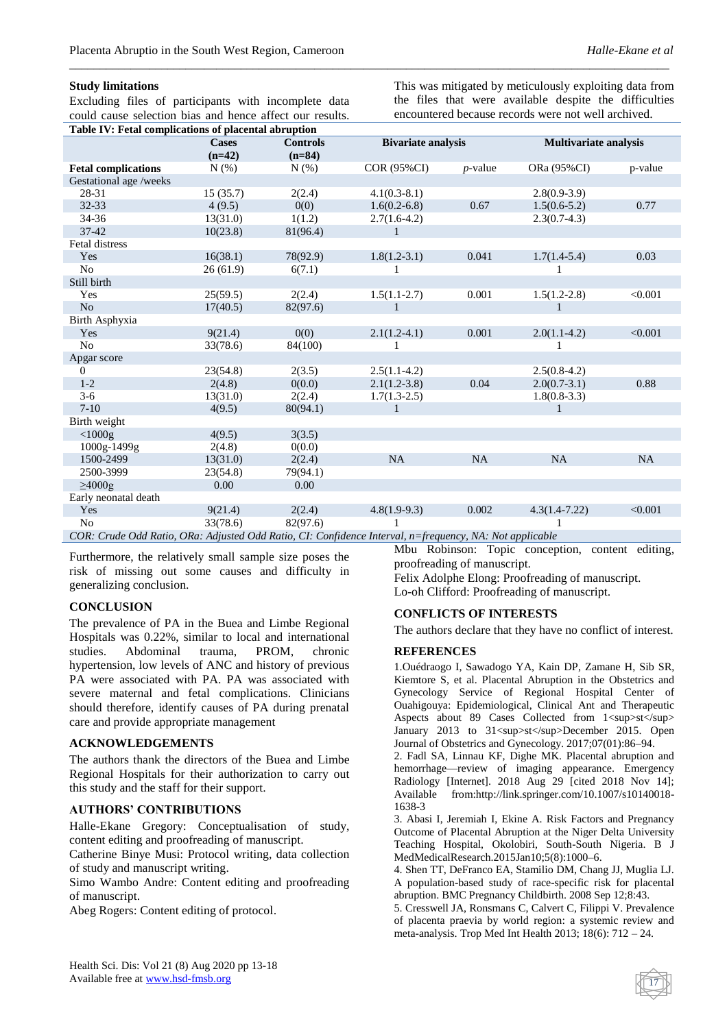Excluding files of participants with incomplete data could cause selection bias and hence affect our results.

This was mitigated by meticulously exploiting data from the files that were available despite the difficulties encountered because records were not well archived.

| Table IV: Fetal complications of placental abruption                                                        |              |                 |                           |            |                              |           |  |  |
|-------------------------------------------------------------------------------------------------------------|--------------|-----------------|---------------------------|------------|------------------------------|-----------|--|--|
|                                                                                                             | <b>Cases</b> | <b>Controls</b> | <b>Bivariate analysis</b> |            | <b>Multivariate analysis</b> |           |  |  |
|                                                                                                             | $(n=42)$     | $(n=84)$        |                           |            |                              |           |  |  |
| <b>Fetal complications</b>                                                                                  | N(%)         | N(% )           | COR (95%CI)               | $p$ -value | ORa (95%CI)                  | p-value   |  |  |
| Gestational age/weeks                                                                                       |              |                 |                           |            |                              |           |  |  |
| 28-31                                                                                                       | 15(35.7)     | 2(2.4)          | $4.1(0.3-8.1)$            |            | $2.8(0.9-3.9)$               |           |  |  |
| $32 - 33$                                                                                                   | 4(9.5)       | 0(0)            | $1.6(0.2-6.8)$            | 0.67       | $1.5(0.6-5.2)$               | 0.77      |  |  |
| 34-36                                                                                                       | 13(31.0)     | 1(1.2)          | $2.7(1.6-4.2)$            |            | $2.3(0.7-4.3)$               |           |  |  |
| $37 - 42$                                                                                                   | 10(23.8)     | 81(96.4)        | $\mathbf{1}$              |            |                              |           |  |  |
| Fetal distress                                                                                              |              |                 |                           |            |                              |           |  |  |
| Yes                                                                                                         | 16(38.1)     | 78(92.9)        | $1.8(1.2-3.1)$            | 0.041      | $1.7(1.4-5.4)$               | 0.03      |  |  |
| N <sub>o</sub>                                                                                              | 26(61.9)     | 6(7.1)          |                           |            |                              |           |  |  |
| Still birth                                                                                                 |              |                 |                           |            |                              |           |  |  |
| Yes                                                                                                         | 25(59.5)     | 2(2.4)          | $1.5(1.1-2.7)$            | 0.001      | $1.5(1.2-2.8)$               | < 0.001   |  |  |
| N <sub>o</sub>                                                                                              | 17(40.5)     | 82(97.6)        | 1                         |            |                              |           |  |  |
| Birth Asphyxia                                                                                              |              |                 |                           |            |                              |           |  |  |
| Yes                                                                                                         | 9(21.4)      | 0(0)            | $2.1(1.2-4.1)$            | 0.001      | $2.0(1.1-4.2)$               | < 0.001   |  |  |
| N <sub>o</sub>                                                                                              | 33(78.6)     | 84(100)         |                           |            |                              |           |  |  |
| Apgar score                                                                                                 |              |                 |                           |            |                              |           |  |  |
| $\overline{0}$                                                                                              | 23(54.8)     | 2(3.5)          | $2.5(1.1-4.2)$            |            | $2.5(0.8-4.2)$               |           |  |  |
| $1 - 2$                                                                                                     | 2(4.8)       | 0(0.0)          | $2.1(1.2-3.8)$            | 0.04       | $2.0(0.7-3.1)$               | 0.88      |  |  |
| $3-6$                                                                                                       | 13(31.0)     | 2(2.4)          | $1.7(1.3-2.5)$            |            | $1.8(0.8-3.3)$               |           |  |  |
| $7-10$                                                                                                      | 4(9.5)       | 80(94.1)        | 1                         |            |                              |           |  |  |
| Birth weight                                                                                                |              |                 |                           |            |                              |           |  |  |
| $<$ 1000g                                                                                                   | 4(9.5)       | 3(3.5)          |                           |            |                              |           |  |  |
| 1000g-1499g                                                                                                 | 2(4.8)       | 0(0.0)          |                           |            |                              |           |  |  |
| 1500-2499                                                                                                   | 13(31.0)     | 2(2.4)          | <b>NA</b>                 | <b>NA</b>  | <b>NA</b>                    | <b>NA</b> |  |  |
| 2500-3999                                                                                                   | 23(54.8)     | 79(94.1)        |                           |            |                              |           |  |  |
| $\geq 4000$ g                                                                                               | 0.00         | 0.00            |                           |            |                              |           |  |  |
| Early neonatal death                                                                                        |              |                 |                           |            |                              |           |  |  |
| Yes                                                                                                         | 9(21.4)      | 2(2.4)          | $4.8(1.9-9.3)$            | 0.002      | $4.3(1.4 - 7.22)$            | < 0.001   |  |  |
| No                                                                                                          | 33(78.6)     | 82(97.6)        |                           |            |                              |           |  |  |
| $COR$ . Crude Odd Ratio, ORa: Adjusted Odd Ratio, CI: Confidence Interval, n-frequency, NA: Not applicable. |              |                 |                           |            |                              |           |  |  |

*\_\_\_\_\_\_\_\_\_\_\_\_\_\_\_\_\_\_\_\_\_\_\_\_\_\_\_\_\_\_\_\_\_\_\_\_\_\_\_\_\_\_\_\_\_\_\_\_\_\_\_\_\_\_\_\_\_\_\_\_\_\_\_\_\_\_\_\_\_\_\_\_\_\_\_\_\_\_\_\_\_\_\_\_\_\_\_\_\_\_\_\_\_\_\_\_\_\_*

*COR: Crude Odd Ratio, ORa: Adjusted Odd Ratio, CI: Confidence Interval, n=frequency, NA: Not applicable*

Furthermore, the relatively small sample size poses the risk of missing out some causes and difficulty in generalizing conclusion.

### **CONCLUSION**

The prevalence of PA in the Buea and Limbe Regional Hospitals was 0.22%, similar to local and international studies. Abdominal trauma, PROM, chronic hypertension, low levels of ANC and history of previous PA were associated with PA. PA was associated with severe maternal and fetal complications. Clinicians should therefore, identify causes of PA during prenatal care and provide appropriate management

### **ACKNOWLEDGEMENTS**

The authors thank the directors of the Buea and Limbe Regional Hospitals for their authorization to carry out this study and the staff for their support.

#### **AUTHORS' CONTRIBUTIONS**

Halle-Ekane Gregory: Conceptualisation of study, content editing and proofreading of manuscript.

Catherine Binye Musi: Protocol writing, data collection of study and manuscript writing.

Simo Wambo Andre: Content editing and proofreading of manuscript.

Abeg Rogers: Content editing of protocol.

Mbu Robinson: Topic conception, content editing, proofreading of manuscript. Felix Adolphe Elong: Proofreading of manuscript. Lo-oh Clifford: Proofreading of manuscript.

#### **CONFLICTS OF INTERESTS**

The authors declare that they have no conflict of interest.

#### **REFERENCES**

1.Ouédraogo I, Sawadogo YA, Kain DP, Zamane H, Sib SR, Kiemtore S, et al. Placental Abruption in the Obstetrics and Gynecology Service of Regional Hospital Center of Ouahigouya: Epidemiological, Clinical Ant and Therapeutic Aspects about 89 Cases Collected from 1<sup>st</sup> January 2013 to 31<sup>st</sup>December 2015. Open Journal of Obstetrics and Gynecology. 2017;07(01):86–94.

2. Fadl SA, Linnau KF, Dighe MK. Placental abruption and hemorrhage—review of imaging appearance. Emergency Radiology [Internet]. 2018 Aug 29 [cited 2018 Nov 14]; Available from:http://link.springer.com/10.1007/s10140018- 1638-3

3. Abasi I, Jeremiah I, Ekine A. Risk Factors and Pregnancy Outcome of Placental Abruption at the Niger Delta University Teaching Hospital, Okolobiri, South-South Nigeria. B J MedMedicalResearch.2015Jan10;5(8):1000–6.

4. Shen TT, DeFranco EA, Stamilio DM, Chang JJ, Muglia LJ. A population-based study of race-specific risk for placental abruption. BMC Pregnancy Childbirth. 2008 Sep 12;8:43.

5. Cresswell JA, Ronsmans C, Calvert C, Filippi V. Prevalence of placenta praevia by world region: a systemic review and meta-analysis. Trop Med Int Health 2013; 18(6): 712 – 24.